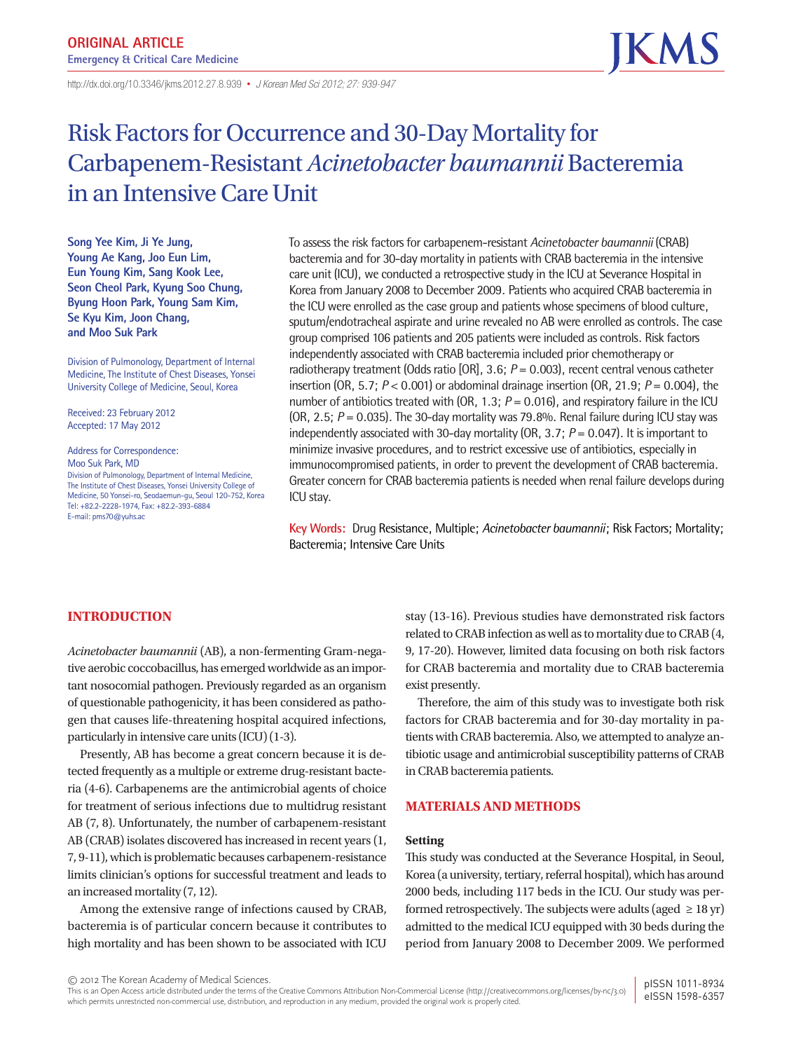http://dx.doi.org/10.3346/ jkms.2012.27.8.939• *J Korean Med Sci 2012; 27: 939-947*

# Risk Factors for Occurrence and 30-Day Mortality for Carbapenem-Resistant *Acinetobacter baumannii* Bacteremia in an Intensive Care Unit

**Song Yee Kim, Ji Ye Jung, Young Ae Kang, Joo Eun Lim, Eun Young Kim, Sang Kook Lee, Seon Cheol Park, Kyung Soo Chung, Byung Hoon Park, Young Sam Kim, Se Kyu Kim, Joon Chang, and Moo Suk Park**

Division of Pulmonology, Department of Internal Medicine, The Institute of Chest Diseases, Yonsei University College of Medicine, Seoul, Korea

Received: 23 February 2012 Accepted: 17 May 2012

Address for Correspondence: Moo Suk Park, MD Division of Pulmonology, Department of Internal Medicine, The Institute of Chest Diseases, Yonsei University College of Medicine, 50 Yonsei-ro, Seodaemun-gu, Seoul 120-752, Korea Tel: +82.2-2228-1974, Fax: +82.2-393-6884 E-mail: pms70@yuhs.ac

To assess the risk factors for carbapenem-resistant *Acinetobacter baumannii* (CRAB) bacteremia and for 30-day mortality in patients with CRAB bacteremia in the intensive care unit (ICU), we conducted a retrospective study in the ICU at Severance Hospital in Korea from January 2008 to December 2009. Patients who acquired CRAB bacteremia in the ICU were enrolled as the case group and patients whose specimens of blood culture, sputum/endotracheal aspirate and urine revealed no AB were enrolled as controls. The case group comprised 106 patients and 205 patients were included as controls. Risk factors independently associated with CRAB bacteremia included prior chemotherapy or radiotherapy treatment (Odds ratio [OR], 3.6; *P* = 0.003), recent central venous catheter insertion (OR, 5.7; *P* < 0.001) or abdominal drainage insertion (OR, 21.9; *P* = 0.004), the number of antibiotics treated with (OR, 1.3; *P* = 0.016), and respiratory failure in the ICU (OR, 2.5; *P* = 0.035). The 30-day mortality was 79.8%. Renal failure during ICU stay was independently associated with 30-day mortality (OR, 3.7; *P* = 0.047). It is important to minimize invasive procedures, and to restrict excessive use of antibiotics, especially in immunocompromised patients, in order to prevent the development of CRAB bacteremia. Greater concern for CRAB bacteremia patients is needed when renal failure develops during ICU stay.

**Key Words:** Drug Resistance, Multiple; *Acinetobacter baumannii*; Risk Factors; Mortality; Bacteremia; Intensive Care Units

# **INTRODUCTION**

*Acinetobacter baumannii* (AB), a non-fermenting Gram-negative aerobic coccobacillus, has emerged worldwide as an important nosocomial pathogen. Previously regarded as an organism of questionable pathogenicity, it has been considered as pathogen that causes life-threatening hospital acquired infections, particularly in intensive care units (ICU) (1-3).

Presently, AB has become a great concern because it is detected frequently as a multiple or extreme drug-resistant bacteria (4-6). Carbapenems are the antimicrobial agents of choice for treatment of serious infections due to multidrug resistant AB (7, 8). Unfortunately, the number of carbapenem-resistant AB (CRAB) isolates discovered has increased in recent years (1, 7, 9-11), which is problematic becauses carbapenem-resistance limits clinician's options for successful treatment and leads to an increased mortality (7, 12).

Among the extensive range of infections caused by CRAB, bacteremia is of particular concern because it contributes to high mortality and has been shown to be associated with ICU stay (13-16). Previous studies have demonstrated risk factors related to CRAB infection as well as to mortality due to CRAB (4, 9, 17-20). However, limited data focusing on both risk factors for CRAB bacteremia and mortality due to CRAB bacteremia exist presently.

Therefore, the aim of this study was to investigate both risk factors for CRAB bacteremia and for 30-day mortality in patients with CRAB bacteremia. Also, we attempted to analyze antibiotic usage and antimicrobial susceptibility patterns of CRAB in CRAB bacteremia patients.

### **MATERIALS AND METHODS**

#### **Setting**

This study was conducted at the Severance Hospital, in Seoul, Korea (a university, tertiary, referral hospital), which has around 2000 beds, including 117 beds in the ICU. Our study was performed retrospectively. The subjects were adults (aged  $\geq 18$  yr) admitted to the medical ICU equipped with 30 beds during the period from January 2008 to December 2009. We performed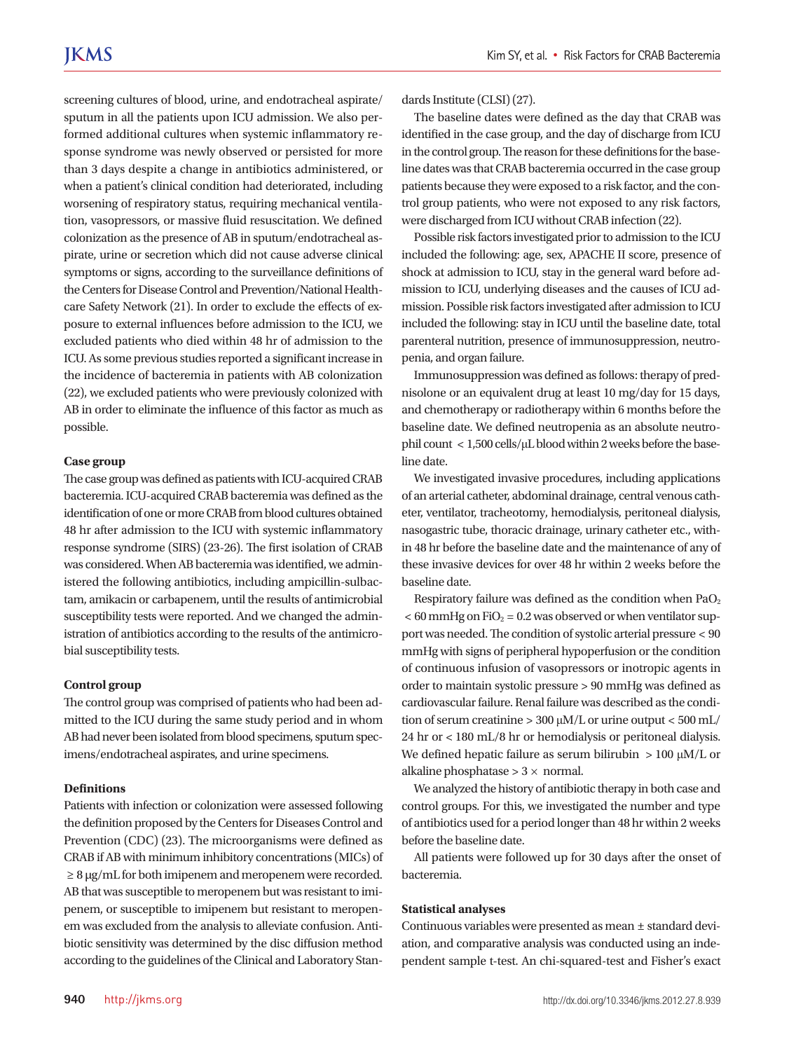screening cultures of blood, urine, and endotracheal aspirate/ sputum in all the patients upon ICU admission. We also performed additional cultures when systemic inflammatory response syndrome was newly observed or persisted for more than 3 days despite a change in antibiotics administered, or when a patient's clinical condition had deteriorated, including worsening of respiratory status, requiring mechanical ventilation, vasopressors, or massive fluid resuscitation. We defined colonization as the presence of AB in sputum/endotracheal aspirate, urine or secretion which did not cause adverse clinical symptoms or signs, according to the surveillance definitions of the Centers for Disease Control and Prevention/National Healthcare Safety Network (21). In order to exclude the effects of exposure to external influences before admission to the ICU, we excluded patients who died within 48 hr of admission to the ICU. As some previous studies reported a significant increase in the incidence of bacteremia in patients with AB colonization (22), we excluded patients who were previously colonized with AB in order to eliminate the influence of this factor as much as possible.

#### **Case group**

The case group was defined as patients with ICU-acquired CRAB bacteremia. ICU-acquired CRAB bacteremia was defined as the identification of one or more CRAB from blood cultures obtained 48 hr after admission to the ICU with systemic inflammatory response syndrome (SIRS) (23-26). The first isolation of CRAB was considered. When AB bacteremia was identified, we administered the following antibiotics, including ampicillin-sulbactam, amikacin or carbapenem, until the results of antimicrobial susceptibility tests were reported. And we changed the administration of antibiotics according to the results of the antimicrobial susceptibility tests.

#### **Control group**

The control group was comprised of patients who had been admitted to the ICU during the same study period and in whom AB had never been isolated from blood specimens, sputum specimens/endotracheal aspirates, and urine specimens.

# **Definitions**

Patients with infection or colonization were assessed following the definition proposed by the Centers for Diseases Control and Prevention (CDC) (23). The microorganisms were defined as CRAB if AB with minimum inhibitory concentrations (MICs) of  $\geq 8 \mu g/mL$  for both imipenem and meropenem were recorded. AB that was susceptible to meropenem but was resistant to imipenem, or susceptible to imipenem but resistant to meropenem was excluded from the analysis to alleviate confusion. Antibiotic sensitivity was determined by the disc diffusion method according to the guidelines of the Clinical and Laboratory Stan-

The baseline dates were defined as the day that CRAB was identified in the case group, and the day of discharge from ICU in the control group. The reason for these definitions for the baseline dates was that CRAB bacteremia occurred in the case group patients because they were exposed to a risk factor, and the control group patients, who were not exposed to any risk factors, were discharged from ICU without CRAB infection (22).

Possible risk factors investigated prior to admission to the ICU included the following: age, sex, APACHE II score, presence of shock at admission to ICU, stay in the general ward before admission to ICU, underlying diseases and the causes of ICU admission. Possible risk factors investigated after admission to ICU included the following: stay in ICU until the baseline date, total parenteral nutrition, presence of immunosuppression, neutropenia, and organ failure.

Immunosuppression was defined as follows: therapy of prednisolone or an equivalent drug at least 10 mg/day for 15 days, and chemotherapy or radiotherapy within 6 months before the baseline date. We defined neutropenia as an absolute neutrophil count < 1,500 cells/μL blood within 2 weeks before the baseline date.

We investigated invasive procedures, including applications of an arterial catheter, abdominal drainage, central venous catheter, ventilator, tracheotomy, hemodialysis, peritoneal dialysis, nasogastric tube, thoracic drainage, urinary catheter etc., within 48 hr before the baseline date and the maintenance of any of these invasive devices for over 48 hr within 2 weeks before the baseline date.

Respiratory failure was defined as the condition when  $PaO<sub>2</sub>$  $<$  60 mmHg on FiO<sub>2</sub> = 0.2 was observed or when ventilator support was needed. The condition of systolic arterial pressure < 90 mmHg with signs of peripheral hypoperfusion or the condition of continuous infusion of vasopressors or inotropic agents in order to maintain systolic pressure > 90 mmHg was defined as cardiovascular failure. Renal failure was described as the condition of serum creatinine > 300 μM/L or urine output < 500 mL/ 24 hr or < 180 mL/8 hr or hemodialysis or peritoneal dialysis. We defined hepatic failure as serum bilirubin  $> 100 \mu M/L$  or alkaline phosphatase  $> 3 \times$  normal.

We analyzed the history of antibiotic therapy in both case and control groups. For this, we investigated the number and type of antibiotics used for a period longer than 48 hr within 2 weeks before the baseline date.

All patients were followed up for 30 days after the onset of bacteremia.

#### **Statistical analyses**

Continuous variables were presented as mean ± standard deviation, and comparative analysis was conducted using an independent sample t-test. An chi-squared-test and Fisher's exact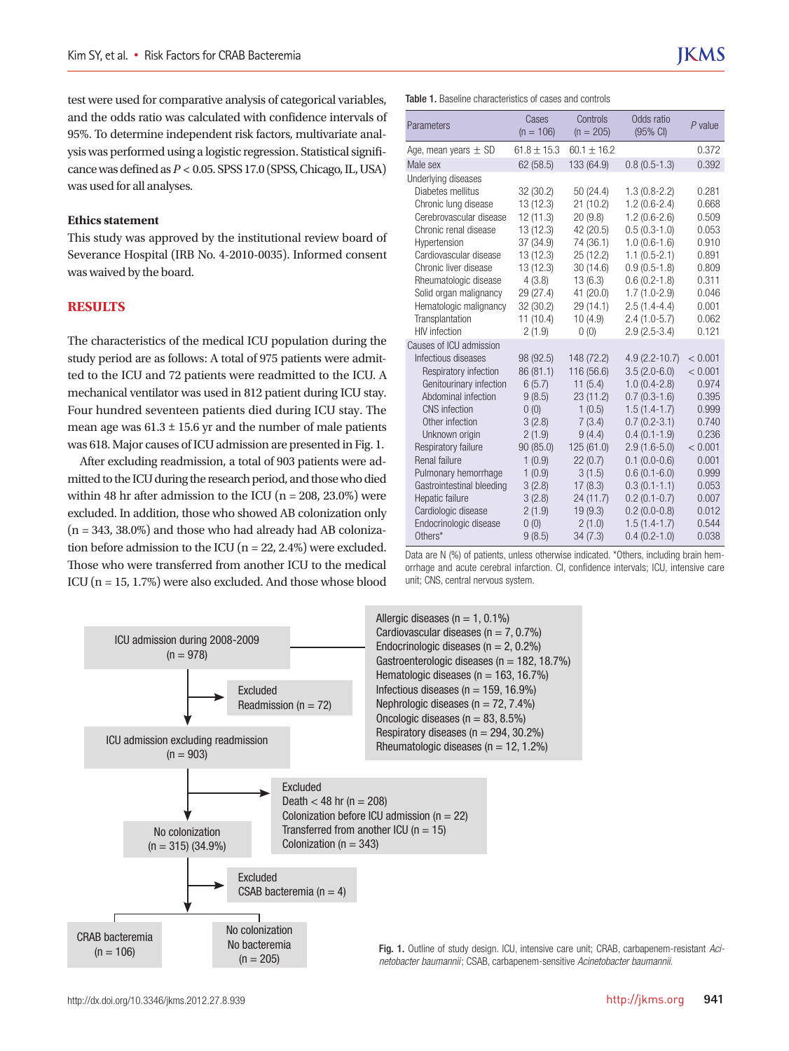test were used for comparative analysis of categorical variables, and the odds ratio was calculated with confidence intervals of 95%. To determine independent risk factors, multivariate analysis was performed using a logistic regression. Statistical significance was defined as *P* < 0.05. SPSS 17.0 (SPSS, Chicago, IL, USA) was used for all analyses.

#### **Ethics statement**

This study was approved by the institutional review board of Severance Hospital (IRB No. 4-2010-0035). Informed consent was waived by the board.

# **RESULTS**

The characteristics of the medical ICU population during the study period are as follows: A total of 975 patients were admitted to the ICU and 72 patients were readmitted to the ICU. A mechanical ventilator was used in 812 patient during ICU stay. Four hundred seventeen patients died during ICU stay. The mean age was  $61.3 \pm 15.6$  yr and the number of male patients was 618. Major causes of ICU admission are presented in Fig. 1.

After excluding readmission, a total of 903 patients were admitted to the ICU during the research period, and those who died within 48 hr after admission to the ICU  $(n = 208, 23.0\%)$  were excluded. In addition, those who showed AB colonization only  $(n = 343, 38.0\%)$  and those who had already had AB colonization before admission to the ICU ( $n = 22, 2.4\%$ ) were excluded. Those who were transferred from another ICU to the medical ICU (n = 15, 1.7%) were also excluded. And those whose blood Table 1. Baseline characteristics of cases and controls

| Parameters                                                                                                                                                                                                                                                                                                                                                         | Cases<br>$(n = 106)$                                                                                                                                    | Controls<br>$(n = 205)$                                                                                                                                                  | Odds ratio<br>(95% CI)                                                                                                                                                                                                                                                           | $P$ value                                                                                                                                 |
|--------------------------------------------------------------------------------------------------------------------------------------------------------------------------------------------------------------------------------------------------------------------------------------------------------------------------------------------------------------------|---------------------------------------------------------------------------------------------------------------------------------------------------------|--------------------------------------------------------------------------------------------------------------------------------------------------------------------------|----------------------------------------------------------------------------------------------------------------------------------------------------------------------------------------------------------------------------------------------------------------------------------|-------------------------------------------------------------------------------------------------------------------------------------------|
| Age, mean years $\pm$ SD                                                                                                                                                                                                                                                                                                                                           | $61.8 + 15.3$                                                                                                                                           | $60.1 + 16.2$                                                                                                                                                            |                                                                                                                                                                                                                                                                                  | 0.372                                                                                                                                     |
| Male sex                                                                                                                                                                                                                                                                                                                                                           | 62 (58.5)                                                                                                                                               | 133 (64.9)                                                                                                                                                               | $0.8(0.5-1.3)$                                                                                                                                                                                                                                                                   | 0.392                                                                                                                                     |
| Underlying diseases<br>Diabetes mellitus<br>Chronic lung disease<br>Cerebrovascular disease<br>Chronic renal disease<br>Hypertension<br>Cardiovascular disease<br>Chronic liver disease<br>Rheumatologic disease<br>Solid organ malignancy<br>Hematologic malignancy<br>Transplantation<br><b>HIV</b> infection                                                    | 32 (30.2)<br>13 (12.3)<br>12(11.3)<br>13 (12.3)<br>37 (34.9)<br>13 (12.3)<br>13 (12.3)<br>4(3.8)<br>29 (27.4)<br>32 (30.2)<br>11 (10.4)<br>2(1.9)       | 50 (24.4)<br>21(10.2)<br>20(9.8)<br>42 (20.5)<br>74 (36.1)<br>25 (12.2)<br>30 (14.6)<br>13(6.3)<br>41 (20.0)<br>29 (14.1)<br>10(4.9)<br>0(0)                             | $1.3(0.8-2.2)$<br>$1.2(0.6-2.4)$<br>$1.2(0.6-2.6)$<br>$0.5(0.3-1.0)$<br>$1.0(0.6-1.6)$<br>$1.1(0.5-2.1)$<br>$0.9(0.5-1.8)$<br>$0.6(0.2-1.8)$<br>$1.7(1.0-2.9)$<br>$2.5(1.4-4.4)$<br>$2.4(1.0-5.7)$<br>$2.9(2.5-3.4)$                                                             | 0.281<br>0.668<br>0.509<br>0.053<br>0.910<br>0.891<br>0.809<br>0.311<br>0.046<br>0.001<br>0.062<br>0.121                                  |
| Causes of ICU admission<br>Infectious diseases<br>Respiratory infection<br>Genitourinary infection<br>Abdominal infection<br><b>CNS</b> infection<br>Other infection<br>Unknown origin<br>Respiratory failure<br>Renal failure<br>Pulmonary hemorrhage<br>Gastrointestinal bleeding<br>Hepatic failure<br>Cardiologic disease<br>Endocrinologic disease<br>Others* | 98 (92.5)<br>86 (81.1)<br>6(5.7)<br>9(8.5)<br>0(0)<br>3(2.8)<br>2(1.9)<br>90 (85.0)<br>1(0.9)<br>1(0.9)<br>3(2.8)<br>3(2.8)<br>2(1.9)<br>0(0)<br>9(8.5) | 148 (72.2)<br>116 (56.6)<br>11(5.4)<br>23(11.2)<br>1(0.5)<br>7(3.4)<br>9(4.4)<br>125 (61.0)<br>22(0.7)<br>3(1.5)<br>17(8.3)<br>24 (11.7)<br>19(9.3)<br>2(1.0)<br>34(7.3) | $4.9(2.2 - 10.7)$<br>$3.5(2.0-6.0)$<br>$1.0(0.4-2.8)$<br>$0.7(0.3-1.6)$<br>$1.5(1.4-1.7)$<br>$0.7(0.2-3.1)$<br>$0.4(0.1-1.9)$<br>$2.9(1.6-5.0)$<br>$0.1 (0.0 - 0.6)$<br>$0.6(0.1-6.0)$<br>$0.3(0.1-1.1)$<br>$0.2(0.1-0.7)$<br>$0.2(0.0-0.8)$<br>$1.5(1.4-1.7)$<br>$0.4(0.2-1.0)$ | < 0.001<br>< 0.001<br>0.974<br>0.395<br>0.999<br>0.740<br>0.236<br>< 0.001<br>0.001<br>0.999<br>0.053<br>0.007<br>0.012<br>0.544<br>0.038 |

Data are N (%) of patients, unless otherwise indicated. \*Others, including brain hemorrhage and acute cerebral infarction. CI, confidence intervals; ICU, intensive care unit; CNS, central nervous system.

Excluded Readmission ( $n = 72$ ) Excluded CSAB bacteremia ( $n = 4$ ) Excluded Death  $<$  48 hr (n = 208) Colonization before ICU admission ( $n = 22$ ) Transferred from another ICU ( $n = 15$ ) Colonization ( $n = 343$ ) ICU admission during 2008-2009  $(n = 978)$ ICU admission excluding readmission  $(n = 903)$ No colonization  $(n = 315)$  (34.9%) CRAB bacteremia  $(n = 106)$ No colonization No bacteremia  $(n = 205)$ 

Allergic diseases ( $n = 1, 0.1\%$ ) Cardiovascular diseases ( $n = 7, 0.7\%$ ) Endocrinologic diseases ( $n = 2, 0.2\%$ ) Gastroenterologic diseases ( $n = 182, 18.7\%$ ) Hematologic diseases ( $n = 163, 16.7\%$ ) Infectious diseases ( $n = 159, 16.9\%$ ) Nephrologic diseases ( $n = 72, 7.4\%$ ) Oncologic diseases ( $n = 83, 8.5\%$ ) Respiratory diseases ( $n = 294, 30.2\%$ ) Rheumatologic diseases ( $n = 12, 1.2\%$ )

Fig. 1. Outline of study design. ICU, intensive care unit; CRAB, carbapenem-resistant *Acinetobacter baumannii*; CSAB, carbapenem-sensitive *Acinetobacter baumannii*.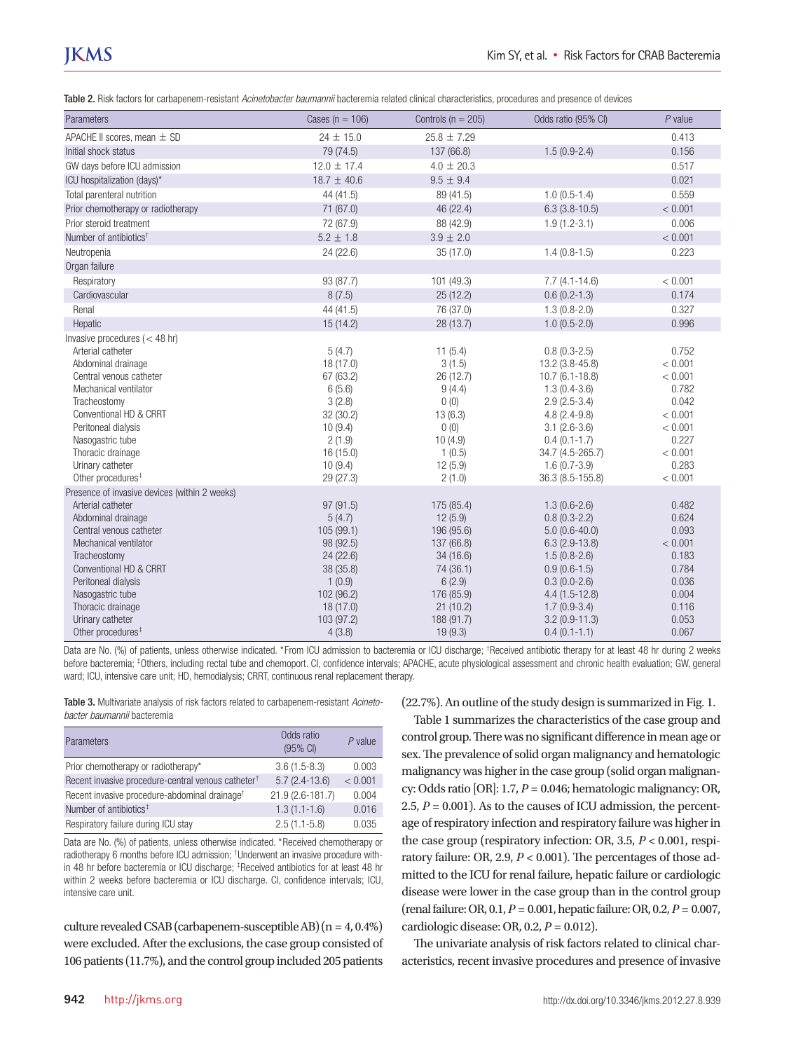# **JKMS**

Table 2. Risk factors for carbapenem-resistant *Acinetobacter baumannii* bacteremia related clinical characteristics, procedures and presence of devices

| Parameters                                                                                                                                                                                                                                                 | Cases ( $n = 106$ )                                                                                                        | Controls ( $n = 205$ )                                                                                         | Odds ratio (95% CI)                                                                                                                                                                                            | $P$ value                                                                                                   |
|------------------------------------------------------------------------------------------------------------------------------------------------------------------------------------------------------------------------------------------------------------|----------------------------------------------------------------------------------------------------------------------------|----------------------------------------------------------------------------------------------------------------|----------------------------------------------------------------------------------------------------------------------------------------------------------------------------------------------------------------|-------------------------------------------------------------------------------------------------------------|
| APACHE II scores, mean ± SD                                                                                                                                                                                                                                | $24 \pm 15.0$                                                                                                              | $25.8 \pm 7.29$                                                                                                |                                                                                                                                                                                                                | 0.413                                                                                                       |
| Initial shock status                                                                                                                                                                                                                                       | 79 (74.5)                                                                                                                  | 137 (66.8)                                                                                                     | $1.5(0.9-2.4)$                                                                                                                                                                                                 | 0.156                                                                                                       |
| GW days before ICU admission                                                                                                                                                                                                                               | $12.0 \pm 17.4$                                                                                                            | $4.0 \pm 20.3$                                                                                                 |                                                                                                                                                                                                                | 0.517                                                                                                       |
| ICU hospitalization (days)*                                                                                                                                                                                                                                | $18.7 \pm 40.6$                                                                                                            | $9.5\,\pm\,9.4$                                                                                                |                                                                                                                                                                                                                | 0.021                                                                                                       |
| Total parenteral nutrition                                                                                                                                                                                                                                 | 44 (41.5)                                                                                                                  | 89 (41.5)                                                                                                      | $1.0(0.5-1.4)$                                                                                                                                                                                                 | 0.559                                                                                                       |
| Prior chemotherapy or radiotherapy                                                                                                                                                                                                                         | 71 (67.0)                                                                                                                  | 46 (22.4)                                                                                                      | $6.3(3.8-10.5)$                                                                                                                                                                                                | < 0.001                                                                                                     |
| Prior steroid treatment                                                                                                                                                                                                                                    | 72 (67.9)                                                                                                                  | 88 (42.9)                                                                                                      | $1.9(1.2-3.1)$                                                                                                                                                                                                 | 0.006                                                                                                       |
| Number of antibiotics <sup>†</sup>                                                                                                                                                                                                                         | $5.2 \pm 1.8$                                                                                                              | $3.9 \pm 2.0$                                                                                                  |                                                                                                                                                                                                                | < 0.001                                                                                                     |
| Neutropenia                                                                                                                                                                                                                                                | 24(22.6)                                                                                                                   | 35(17.0)                                                                                                       | $1.4(0.8-1.5)$                                                                                                                                                                                                 | 0.223                                                                                                       |
| Organ failure                                                                                                                                                                                                                                              |                                                                                                                            |                                                                                                                |                                                                                                                                                                                                                |                                                                                                             |
| Respiratory                                                                                                                                                                                                                                                | 93 (87.7)                                                                                                                  | 101 (49.3)                                                                                                     | $7.7(4.1-14.6)$                                                                                                                                                                                                | < 0.001                                                                                                     |
| Cardiovascular                                                                                                                                                                                                                                             | 8(7.5)                                                                                                                     | 25(12.2)                                                                                                       | $0.6(0.2-1.3)$                                                                                                                                                                                                 | 0.174                                                                                                       |
| Renal                                                                                                                                                                                                                                                      | 44 (41.5)                                                                                                                  | 76 (37.0)                                                                                                      | $1.3(0.8-2.0)$                                                                                                                                                                                                 | 0.327                                                                                                       |
| Hepatic                                                                                                                                                                                                                                                    | 15(14.2)                                                                                                                   | 28 (13.7)                                                                                                      | $1.0(0.5-2.0)$                                                                                                                                                                                                 | 0.996                                                                                                       |
| Invasive procedures $(< 48$ hr)                                                                                                                                                                                                                            |                                                                                                                            |                                                                                                                |                                                                                                                                                                                                                |                                                                                                             |
| Arterial catheter<br>Abdominal drainage<br>Central venous catheter<br>Mechanical ventilator<br>Tracheostomy<br>Conventional HD & CRRT<br>Peritoneal dialysis<br>Nasogastric tube<br>Thoracic drainage<br>Urinary catheter<br>Other procedures <sup>#</sup> | 5(4.7)<br>18 (17.0)<br>67 (63.2)<br>6(5.6)<br>3(2.8)<br>32 (30.2)<br>10(9.4)<br>2(1.9)<br>16(15.0)<br>10(9.4)<br>29 (27.3) | 11(5.4)<br>3(1.5)<br>26 (12.7)<br>9(4.4)<br>0(0)<br>13(6.3)<br>0(0)<br>10(4.9)<br>1(0.5)<br>12(5.9)<br>2(1.0)  | $0.8(0.3-2.5)$<br>13.2 (3.8-45.8)<br>$10.7(6.1 - 18.8)$<br>$1.3(0.4-3.6)$<br>$2.9(2.5-3.4)$<br>$4.8(2.4-9.8)$<br>$3.1 (2.6 - 3.6)$<br>$0.4(0.1-1.7)$<br>34.7 (4.5-265.7)<br>$1.6(0.7-3.9)$<br>36.3 (8.5-155.8) | 0.752<br>< 0.001<br>< 0.001<br>0.782<br>0.042<br>< 0.001<br>< 0.001<br>0.227<br>< 0.001<br>0.283<br>< 0.001 |
| Presence of invasive devices (within 2 weeks)                                                                                                                                                                                                              |                                                                                                                            |                                                                                                                |                                                                                                                                                                                                                |                                                                                                             |
| Arterial catheter<br>Abdominal drainage<br>Central venous catheter<br>Mechanical ventilator<br>Tracheostomy<br>Conventional HD & CRRT<br>Peritoneal dialysis<br>Nasogastric tube<br>Thoracic drainage                                                      | 97 (91.5)<br>5(4.7)<br>105 (99.1)<br>98 (92.5)<br>24(22.6)<br>38 (35.8)<br>1(0.9)<br>102 (96.2)<br>18(17.0)                | 175 (85.4)<br>12(5.9)<br>196 (95.6)<br>137 (66.8)<br>34(16.6)<br>74 (36.1)<br>6(2.9)<br>176 (85.9)<br>21(10.2) | $1.3(0.6-2.6)$<br>$0.8(0.3-2.2)$<br>$5.0(0.6-40.0)$<br>$6.3(2.9-13.8)$<br>$1.5(0.8-2.6)$<br>$0.9(0.6-1.5)$<br>$0.3(0.0-2.6)$<br>$4.4(1.5-12.8)$<br>$1.7(0.9-3.4)$                                              | 0.482<br>0.624<br>0.093<br>< 0.001<br>0.183<br>0.784<br>0.036<br>0.004<br>0.116                             |
| Urinary catheter<br>Other procedures <sup>#</sup>                                                                                                                                                                                                          | 103 (97.2)<br>4(3.8)                                                                                                       | 188 (91.7)<br>19(9.3)                                                                                          | $3.2(0.9-11.3)$<br>$0.4(0.1-1.1)$                                                                                                                                                                              | 0.053<br>0.067                                                                                              |

Data are No. (%) of patients, unless otherwise indicated. \*From ICU admission to bacteremia or ICU discharge; \*Received antibiotic therapy for at least 48 hr during 2 weeks before bacteremia; <sup>‡</sup>Others, including rectal tube and chemoport. CI, confidence intervals; APACHE, acute physiological assessment and chronic health evaluation; GW, general ward; ICU, intensive care unit; HD, hemodialysis; CRRT, continuous renal replacement therapy.

Table 3. Multivariate analysis of risk factors related to carbapenem-resistant *Acinetobacter baumannii* bacteremia

| Parameters                                                     | Odds ratio<br>(95% CI) | $P$ value |
|----------------------------------------------------------------|------------------------|-----------|
| Prior chemotherapy or radiotherapy*                            | $3.6(1.5-8.3)$         | 0.003     |
| Recent invasive procedure-central venous catheter <sup>†</sup> | $5.7(2.4-13.6)$        | < 0.001   |
| Recent invasive procedure-abdominal drainage <sup>+</sup>      | 21.9 (2.6-181.7)       | 0.004     |
| Number of antibiotics <sup>#</sup>                             | $1.3(1.1-1.6)$         | 0.016     |
| Respiratory failure during ICU stay                            | $2.5(1.1-5.8)$         | 0.035     |

Data are No. (%) of patients, unless otherwise indicated. \*Received chemotherapy or radiotherapy 6 months before ICU admission; † Underwent an invasive procedure within 48 hr before bacteremia or ICU discharge; ‡ Received antibiotics for at least 48 hr within 2 weeks before bacteremia or ICU discharge. CI, confidence intervals; ICU, intensive care unit.

culture revealed CSAB (carbapenem-susceptible AB)  $(n = 4, 0.4\%)$ were excluded. After the exclusions, the case group consisted of 106 patients (11.7%), and the control group included 205 patients (22.7%). An outline of the study design is summarized in Fig. 1.

Table 1 summarizes the characteristics of the case group and control group. There was no significant difference in mean age or sex. The prevalence of solid organ malignancy and hematologic malignancy was higher in the case group (solid organ malignancy: Odds ratio [OR]: 1.7, *P* = 0.046; hematologic malignancy: OR, 2.5,  $P = 0.001$ ). As to the causes of ICU admission, the percentage of respiratory infection and respiratory failure was higher in the case group (respiratory infection: OR, 3.5, *P* < 0.001, respiratory failure: OR, 2.9, *P* < 0.001). The percentages of those admitted to the ICU for renal failure, hepatic failure or cardiologic disease were lower in the case group than in the control group (renal failure: OR, 0.1, *P* = 0.001, hepatic failure: OR, 0.2, *P* = 0.007, cardiologic disease: OR, 0.2, *P* = 0.012).

The univariate analysis of risk factors related to clinical characteristics, recent invasive procedures and presence of invasive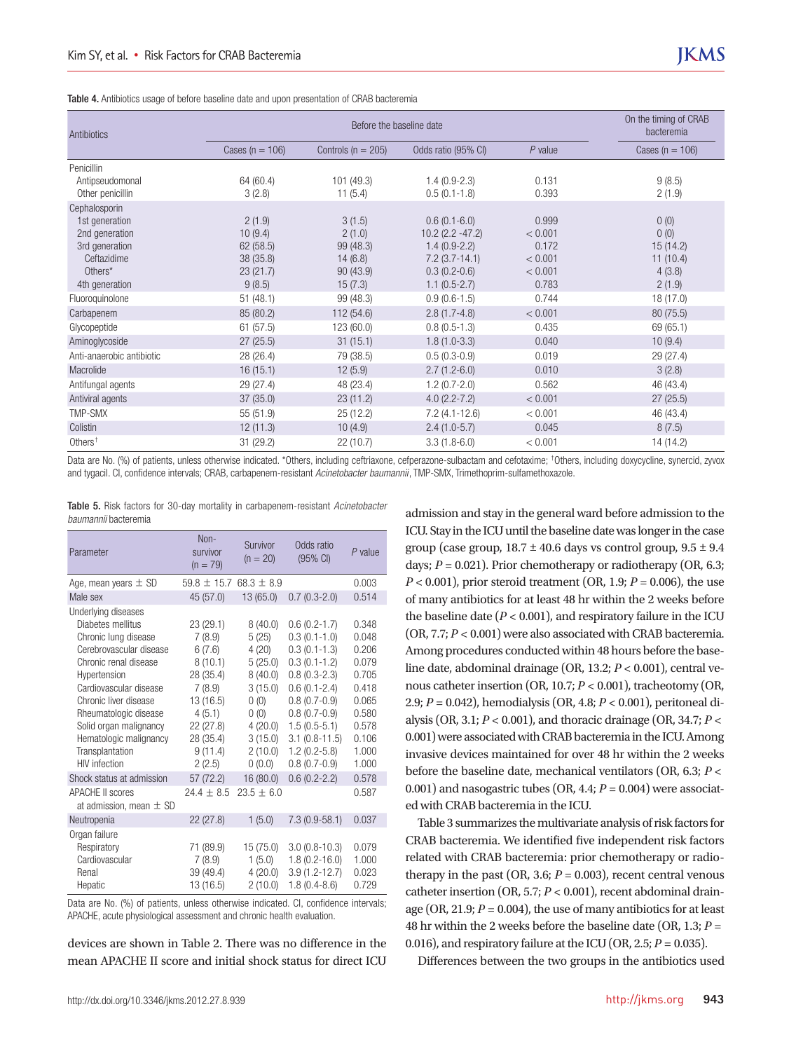Table 4. Antibiotics usage of before baseline date and upon presentation of CRAB bacteremia

| Antibiotics                            |                     | On the timing of CRAB<br>bacteremia |                     |           |                     |
|----------------------------------------|---------------------|-------------------------------------|---------------------|-----------|---------------------|
|                                        | Cases ( $n = 106$ ) | Controls ( $n = 205$ )              | Odds ratio (95% CI) | $P$ value | Cases ( $n = 106$ ) |
| Penicillin                             |                     |                                     |                     |           |                     |
| Antipseudomonal                        | 64 (60.4)           | 101(49.3)                           | $1.4(0.9-2.3)$      | 0.131     | 9(8.5)              |
| Other penicillin                       | 3(2.8)              | 11(5.4)                             | $0.5(0.1-1.8)$      | 0.393     | 2(1.9)              |
| Cephalosporin                          |                     |                                     |                     |           |                     |
| 1st generation                         | 2(1.9)              | 3(1.5)                              | $0.6(0.1-6.0)$      | 0.999     | 0(0)                |
| 2nd generation                         | 10(9.4)             | 2(1.0)                              | $10.2(2.2 - 47.2)$  | < 0.001   | 0(0)                |
| 3rd generation                         | 62(58.5)            | 99 (48.3)                           | $1.4(0.9-2.2)$      | 0.172     | 15(14.2)            |
| Ceftazidime                            | 38(35.8)            | 14(6.8)                             | $7.2(3.7-14.1)$     | < 0.001   | 11(10.4)            |
| Others*                                | 23(21.7)            | 90 (43.9)                           | $0.3(0.2-0.6)$      | < 0.001   | 4(3.8)              |
| 4th generation                         | 9(8.5)              | 15(7.3)                             | $1.1(0.5-2.7)$      | 0.783     | 2(1.9)              |
| Fluoroquinolone                        | 51(48.1)            | 99 (48.3)                           | $0.9(0.6-1.5)$      | 0.744     | 18 (17.0)           |
| Carbapenem                             | 85 (80.2)           | 112 (54.6)                          | $2.8(1.7-4.8)$      | < 0.001   | 80 (75.5)           |
| Glycopeptide                           | 61(57.5)            | 123 (60.0)                          | $0.8(0.5-1.3)$      | 0.435     | 69 (65.1)           |
| Aminoglycoside                         | 27(25.5)            | 31(15.1)                            | $1.8(1.0-3.3)$      | 0.040     | 10(9.4)             |
| Anti-anaerobic antibiotic              | 28 (26.4)           | 79 (38.5)                           | $0.5(0.3-0.9)$      | 0.019     | 29 (27.4)           |
| Macrolide                              | 16(15.1)            | 12(5.9)                             | $2.7(1.2-6.0)$      | 0.010     | 3(2.8)              |
| Antifungal agents                      | 29(27.4)            | 48 (23.4)                           | $1.2(0.7-2.0)$      | 0.562     | 46 (43.4)           |
| Antiviral agents                       | 37(35.0)            | 23(11.2)                            | $4.0(2.2 - 7.2)$    | < 0.001   | 27(25.5)            |
| TMP-SMX                                | 55(51.9)            | 25(12.2)                            | $7.2(4.1-12.6)$     | < 0.001   | 46 (43.4)           |
| Colistin                               | 12(11.3)            | 10(4.9)                             | $2.4(1.0-5.7)$      | 0.045     | 8(7.5)              |
| Others <sup><math>\dagger</math></sup> | 31(29.2)            | 22(10.7)                            | $3.3(1.8-6.0)$      | < 0.001   | 14 (14.2)           |

Data are No. (%) of patients, unless otherwise indicated. \*Others, including ceftriaxone, cefperazone-sulbactam and cefotaxime; †Others, including doxycycline, synercid, zyvox and tygacil. CI, confidence intervals; CRAB, carbapenem-resistant *Acinetobacter baumannii*, TMP-SMX, Trimethoprim-sulfamethoxazole.

|                             |  |  |  |  | Table 5. Risk factors for 30-day mortality in carbapenem-resistant Acinetobacter |  |
|-----------------------------|--|--|--|--|----------------------------------------------------------------------------------|--|
| <i>baumannii</i> bacteremia |  |  |  |  |                                                                                  |  |

| Parameter                                                                                                                                                                                                                                                                               | $Non-$<br>survivor<br>$(n = 79)$                                                                                           | Survivor<br>$(n = 20)$                                                                                       | Odds ratio<br>(95% CI)                                                                                                                                                                                    | $P$ value                                                                                       |
|-----------------------------------------------------------------------------------------------------------------------------------------------------------------------------------------------------------------------------------------------------------------------------------------|----------------------------------------------------------------------------------------------------------------------------|--------------------------------------------------------------------------------------------------------------|-----------------------------------------------------------------------------------------------------------------------------------------------------------------------------------------------------------|-------------------------------------------------------------------------------------------------|
| Age, mean years $\pm$ SD                                                                                                                                                                                                                                                                | $59.8 \pm 15.768.3 \pm 8.9$                                                                                                |                                                                                                              |                                                                                                                                                                                                           | 0.003                                                                                           |
| Male sex                                                                                                                                                                                                                                                                                | 45 (57.0)                                                                                                                  | 13 (65.0)                                                                                                    | $0.7(0.3-2.0)$                                                                                                                                                                                            | 0.514                                                                                           |
| Underlying diseases<br>Diabetes mellitus<br>Chronic lung disease<br>Cerebrovascular disease<br>Chronic renal disease<br>Hypertension<br>Cardiovascular disease<br>Chronic liver disease<br>Rheumatologic disease<br>Solid organ malignancy<br>Hematologic malignancy<br>Transplantation | 23 (29.1)<br>7(8.9)<br>6(7.6)<br>8(10.1)<br>28 (35.4)<br>7(8.9)<br>13 (16.5)<br>4(5.1)<br>22(27.8)<br>28 (35.4)<br>9(11.4) | 8(40.0)<br>5(25)<br>4 (20)<br>5(25.0)<br>8(40.0)<br>3(15.0)<br>0(0)<br>0(0)<br>4(20.0)<br>3(15.0)<br>2(10.0) | $0.6(0.2 - 1.7)$<br>$0.3(0.1-1.0)$<br>$0.3(0.1-1.3)$<br>$0.3(0.1 - 1.2)$<br>$0.8(0.3-2.3)$<br>$0.6(0.1 - 2.4)$<br>$0.8(0.7-0.9)$<br>$0.8(0.7-0.9)$<br>$1.5(0.5-5.1)$<br>$3.1(0.8-11.5)$<br>$1.2(0.2-5.8)$ | 0.348<br>0.048<br>0.206<br>0.079<br>0.705<br>0.418<br>0.065<br>0.580<br>0.578<br>0.106<br>1.000 |
| <b>HIV</b> infection                                                                                                                                                                                                                                                                    | 2(2.5)                                                                                                                     | (0.0)                                                                                                        | $0.8(0.7-0.9)$                                                                                                                                                                                            | 1.000                                                                                           |
| Shock status at admission                                                                                                                                                                                                                                                               | 57 (72.2)                                                                                                                  | 16(80.0)                                                                                                     | $0.6(0.2 - 2.2)$                                                                                                                                                                                          | 0.578                                                                                           |
| <b>APACHE II scores</b><br>at admission, mean $\pm$ SD                                                                                                                                                                                                                                  | $24.4 \pm 8.5$                                                                                                             | $23.5 \pm 6.0$                                                                                               |                                                                                                                                                                                                           | 0.587                                                                                           |
| Neutropenia                                                                                                                                                                                                                                                                             | 22(27.8)                                                                                                                   | 1(5.0)                                                                                                       | $7.3(0.9-58.1)$                                                                                                                                                                                           | 0.037                                                                                           |
| Organ failure<br>Respiratory<br>Cardiovascular<br>Renal<br>Hepatic                                                                                                                                                                                                                      | 71 (89.9)<br>7(8.9)<br>39 (49.4)<br>13 (16.5)                                                                              | 15 (75.0)<br>1(5.0)<br>4(20.0)<br>2(10.0)                                                                    | $3.0(0.8-10.3)$<br>$1.8(0.2 - 16.0)$<br>$3.9(1.2 - 12.7)$<br>$1.8(0.4-8.6)$                                                                                                                               | 0.079<br>1.000<br>0.023<br>0.729                                                                |

Data are No. (%) of patients, unless otherwise indicated. CI, confidence intervals; APACHE, acute physiological assessment and chronic health evaluation.

devices are shown in Table 2. There was no difference in the mean APACHE II score and initial shock status for direct ICU

admission and stay in the general ward before admission to the ICU. Stay in the ICU until the baseline date was longer in the case group (case group,  $18.7 \pm 40.6$  days vs control group,  $9.5 \pm 9.4$ days;  $P = 0.021$ ). Prior chemotherapy or radiotherapy (OR, 6.3; *P* < 0.001), prior steroid treatment (OR, 1.9; *P* = 0.006), the use of many antibiotics for at least 48 hr within the 2 weeks before the baseline date  $(P < 0.001)$ , and respiratory failure in the ICU (OR, 7.7; *P* < 0.001) were also associated with CRAB bacteremia. Among procedures conducted within 48 hours before the baseline date, abdominal drainage (OR, 13.2; *P* < 0.001), central venous catheter insertion (OR, 10.7; *P* < 0.001), tracheotomy (OR, 2.9; *P* = 0.042), hemodialysis (OR, 4.8; *P* < 0.001), peritoneal dialysis (OR, 3.1; *P* < 0.001), and thoracic drainage (OR, 34.7; *P* < 0.001) were associated with CRAB bacteremia in the ICU. Among invasive devices maintained for over 48 hr within the 2 weeks before the baseline date, mechanical ventilators (OR, 6.3; *P* < 0.001) and nasogastric tubes (OR, 4.4; *P* = 0.004) were associated with CRAB bacteremia in the ICU.

Table 3 summarizes the multivariate analysis of risk factors for CRAB bacteremia. We identified five independent risk factors related with CRAB bacteremia: prior chemotherapy or radiotherapy in the past (OR, 3.6;  $P = 0.003$ ), recent central venous catheter insertion (OR, 5.7; *P* < 0.001), recent abdominal drainage (OR, 21.9;  $P = 0.004$ ), the use of many antibiotics for at least 48 hr within the 2 weeks before the baseline date (OR, 1.3; *P* = 0.016), and respiratory failure at the ICU (OR, 2.5; *P* = 0.035).

Differences between the two groups in the antibiotics used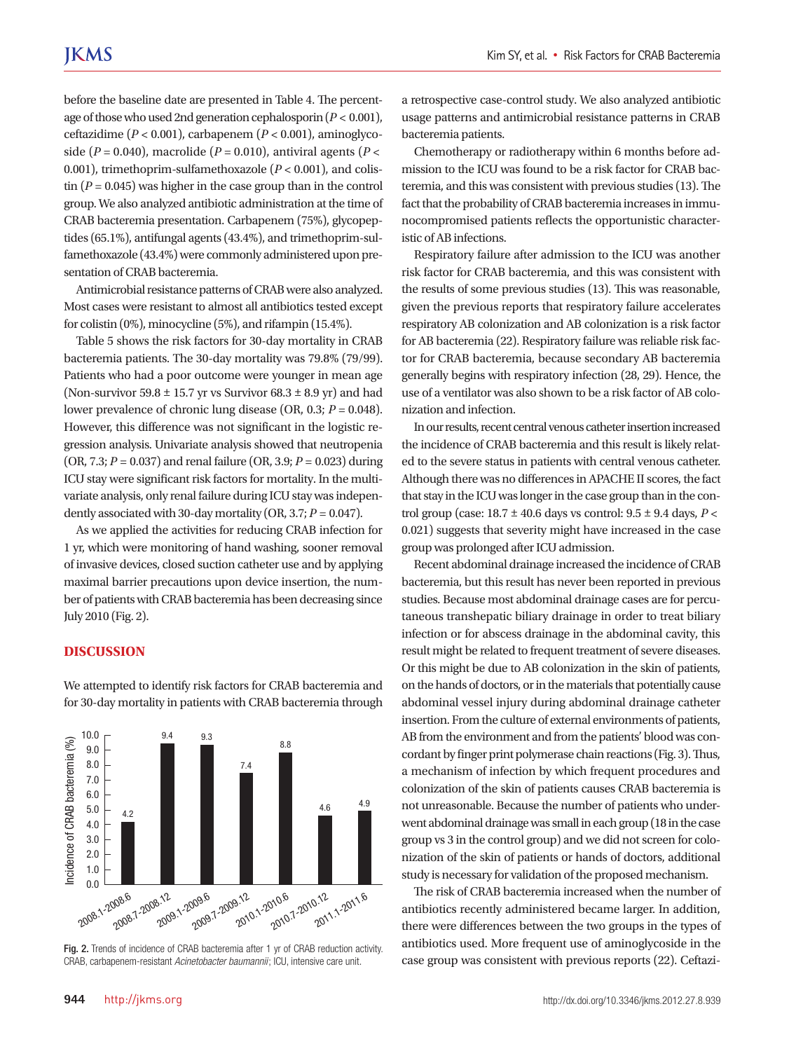before the baseline date are presented in Table 4. The percentage of those who used 2nd generation cephalosporin (*P* < 0.001), ceftazidime (*P* < 0.001), carbapenem (*P* < 0.001), aminoglycoside ( $P = 0.040$ ), macrolide ( $P = 0.010$ ), antiviral agents ( $P <$ 0.001), trimethoprim-sulfamethoxazole (*P* < 0.001), and colistin  $(P = 0.045)$  was higher in the case group than in the control group. We also analyzed antibiotic administration at the time of CRAB bacteremia presentation. Carbapenem (75%), glycopeptides (65.1%), antifungal agents (43.4%), and trimethoprim-sulfamethoxazole (43.4%) were commonly administered upon presentation of CRAB bacteremia.

Antimicrobial resistance patterns of CRAB were also analyzed. Most cases were resistant to almost all antibiotics tested except for colistin (0%), minocycline (5%), and rifampin (15.4%).

Table 5 shows the risk factors for 30-day mortality in CRAB bacteremia patients. The 30-day mortality was 79.8% (79/99). Patients who had a poor outcome were younger in mean age (Non-survivor  $59.8 \pm 15.7$  yr vs Survivor  $68.3 \pm 8.9$  yr) and had lower prevalence of chronic lung disease (OR, 0.3; *P* = 0.048). However, this difference was not significant in the logistic regression analysis. Univariate analysis showed that neutropenia (OR, 7.3; *P* = 0.037) and renal failure (OR, 3.9; *P* = 0.023) during ICU stay were significant risk factors for mortality. In the multivariate analysis, only renal failure during ICU stay was independently associated with 30-day mortality (OR, 3.7;  $P = 0.047$ ).

As we applied the activities for reducing CRAB infection for 1 yr, which were monitoring of hand washing, sooner removal of invasive devices, closed suction catheter use and by applying maximal barrier precautions upon device insertion, the number of patients with CRAB bacteremia has been decreasing since July 2010 (Fig. 2).

#### **DISCUSSION**



We attempted to identify risk factors for CRAB bacteremia and for 30-day mortality in patients with CRAB bacteremia through

Fig. 2. Trends of incidence of CRAB bacteremia after 1 yr of CRAB reduction activity. CRAB, carbapenem-resistant *Acinetobacter baumannii*; ICU, intensive care unit.

a retrospective case-control study. We also analyzed antibiotic usage patterns and antimicrobial resistance patterns in CRAB bacteremia patients.

Chemotherapy or radiotherapy within 6 months before admission to the ICU was found to be a risk factor for CRAB bacteremia, and this was consistent with previous studies (13). The fact that the probability of CRAB bacteremia increases in immunocompromised patients reflects the opportunistic characteristic of AB infections.

Respiratory failure after admission to the ICU was another risk factor for CRAB bacteremia, and this was consistent with the results of some previous studies (13). This was reasonable, given the previous reports that respiratory failure accelerates respiratory AB colonization and AB colonization is a risk factor for AB bacteremia (22). Respiratory failure was reliable risk factor for CRAB bacteremia, because secondary AB bacteremia generally begins with respiratory infection (28, 29). Hence, the use of a ventilator was also shown to be a risk factor of AB colonization and infection.

In our results, recent central venous catheter insertion increased the incidence of CRAB bacteremia and this result is likely related to the severe status in patients with central venous catheter. Although there was no differences in APACHE II scores, the fact that stay in the ICU was longer in the case group than in the control group (case: 18.7 ± 40.6 days vs control: 9.5 ± 9.4 days, *P* < 0.021) suggests that severity might have increased in the case group was prolonged after ICU admission.

Recent abdominal drainage increased the incidence of CRAB bacteremia, but this result has never been reported in previous studies. Because most abdominal drainage cases are for percutaneous transhepatic biliary drainage in order to treat biliary infection or for abscess drainage in the abdominal cavity, this result might be related to frequent treatment of severe diseases. Or this might be due to AB colonization in the skin of patients, on the hands of doctors, or in the materials that potentially cause abdominal vessel injury during abdominal drainage catheter insertion. From the culture of external environments of patients, AB from the environment and from the patients' blood was concordant by finger print polymerase chain reactions (Fig. 3). Thus, a mechanism of infection by which frequent procedures and colonization of the skin of patients causes CRAB bacteremia is not unreasonable. Because the number of patients who underwent abdominal drainage was small in each group (18 in the case group vs 3 in the control group) and we did not screen for colonization of the skin of patients or hands of doctors, additional study is necessary for validation of the proposed mechanism.

The risk of CRAB bacteremia increased when the number of antibiotics recently administered became larger. In addition, there were differences between the two groups in the types of antibiotics used. More frequent use of aminoglycoside in the case group was consistent with previous reports (22). Ceftazi-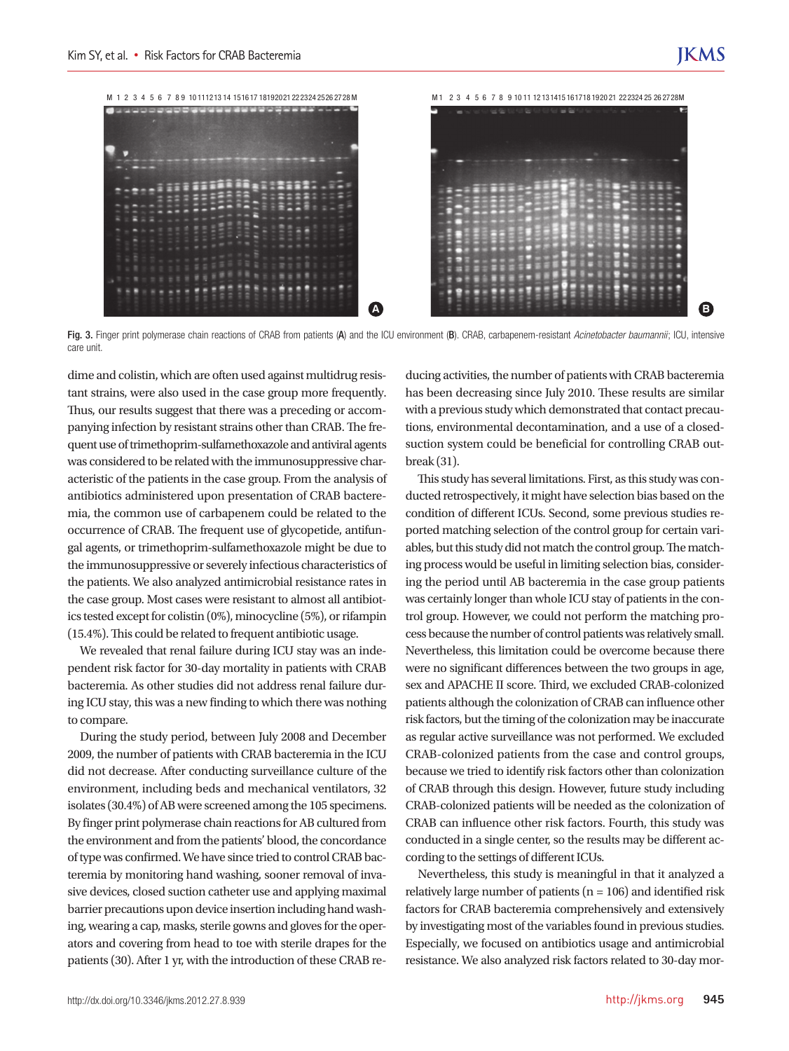M 1 2 3 4 5 6 7 8 9 10 111213 14 1516 17 18192021 222324 2526 2728 M M 1 2 3 4 5 6 7 8 9 10 11 12 131415 161718 1920 21 222324 25 26 2728M **A B**

Fig. 3. Finger print polymerase chain reactions of CRAB from patients (A) and the ICU environment (B). CRAB, carbapenem-resistant *Acinetobacter baumannii*; ICU, intensive care unit.

dime and colistin, which are often used against multidrug resistant strains, were also used in the case group more frequently. Thus, our results suggest that there was a preceding or accompanying infection by resistant strains other than CRAB. The frequent use of trimethoprim-sulfamethoxazole and antiviral agents was considered to be related with the immunosuppressive characteristic of the patients in the case group. From the analysis of antibiotics administered upon presentation of CRAB bacteremia, the common use of carbapenem could be related to the occurrence of CRAB. The frequent use of glycopetide, antifungal agents, or trimethoprim-sulfamethoxazole might be due to the immunosuppressive or severely infectious characteristics of the patients. We also analyzed antimicrobial resistance rates in the case group. Most cases were resistant to almost all antibiotics tested except for colistin (0%), minocycline (5%), or rifampin (15.4%). This could be related to frequent antibiotic usage.

We revealed that renal failure during ICU stay was an independent risk factor for 30-day mortality in patients with CRAB bacteremia. As other studies did not address renal failure during ICU stay, this was a new finding to which there was nothing to compare.

During the study period, between July 2008 and December 2009, the number of patients with CRAB bacteremia in the ICU did not decrease. After conducting surveillance culture of the environment, including beds and mechanical ventilators, 32 isolates (30.4%) of AB were screened among the 105 specimens. By finger print polymerase chain reactions for AB cultured from the environment and from the patients' blood, the concordance of type was confirmed. We have since tried to control CRAB bacteremia by monitoring hand washing, sooner removal of invasive devices, closed suction catheter use and applying maximal barrier precautions upon device insertion including hand washing, wearing a cap, masks, sterile gowns and gloves for the operators and covering from head to toe with sterile drapes for the patients (30). After 1 yr, with the introduction of these CRAB reducing activities, the number of patients with CRAB bacteremia has been decreasing since July 2010. These results are similar with a previous study which demonstrated that contact precautions, environmental decontamination, and a use of a closedsuction system could be beneficial for controlling CRAB outbreak (31).

This study has several limitations. First, as this study was conducted retrospectively, it might have selection bias based on the condition of different ICUs. Second, some previous studies reported matching selection of the control group for certain variables, but this study did not match the control group. The matching process would be useful in limiting selection bias, considering the period until AB bacteremia in the case group patients was certainly longer than whole ICU stay of patients in the control group. However, we could not perform the matching process because the number of control patients was relatively small. Nevertheless, this limitation could be overcome because there were no significant differences between the two groups in age, sex and APACHE II score. Third, we excluded CRAB-colonized patients although the colonization of CRAB can influence other risk factors, but the timing of the colonization may be inaccurate as regular active surveillance was not performed. We excluded CRAB-colonized patients from the case and control groups, because we tried to identify risk factors other than colonization of CRAB through this design. However, future study including CRAB-colonized patients will be needed as the colonization of CRAB can influence other risk factors. Fourth, this study was conducted in a single center, so the results may be different according to the settings of different ICUs.

Nevertheless, this study is meaningful in that it analyzed a relatively large number of patients ( $n = 106$ ) and identified risk factors for CRAB bacteremia comprehensively and extensively by investigating most of the variables found in previous studies. Especially, we focused on antibiotics usage and antimicrobial resistance. We also analyzed risk factors related to 30-day mor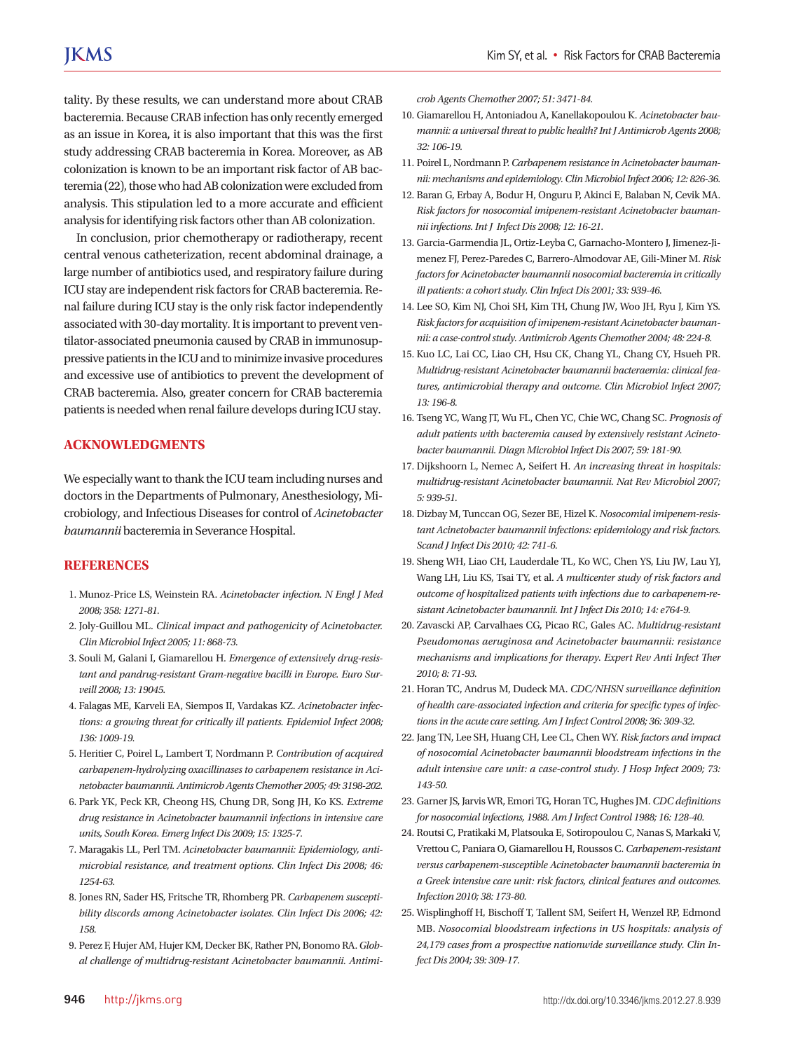tality. By these results, we can understand more about CRAB bacteremia. Because CRAB infection has only recently emerged as an issue in Korea, it is also important that this was the first study addressing CRAB bacteremia in Korea. Moreover, as AB colonization is known to be an important risk factor of AB bacteremia (22), those who had AB colonization were excluded from analysis. This stipulation led to a more accurate and efficient analysis for identifying risk factors other than AB colonization.

In conclusion, prior chemotherapy or radiotherapy, recent central venous catheterization, recent abdominal drainage, a large number of antibiotics used, and respiratory failure during ICU stay are independent risk factors for CRAB bacteremia. Renal failure during ICU stay is the only risk factor independently associated with 30-day mortality. It is important to prevent ventilator-associated pneumonia caused by CRAB in immunosuppressive patients in the ICU and to minimize invasive procedures and excessive use of antibiotics to prevent the development of CRAB bacteremia. Also, greater concern for CRAB bacteremia patients is needed when renal failure develops during ICU stay.

#### **ACKNOWLEDGMENTS**

We especially want to thank the ICU team including nurses and doctors in the Departments of Pulmonary, Anesthesiology, Microbiology, and Infectious Diseases for control of *Acinetobacter baumannii* bacteremia in Severance Hospital.

#### **REFERENCES**

- 1. Munoz-Price LS, Weinstein RA. *Acinetobacter infection. N Engl J Med 2008; 358: 1271-81.*
- 2. Joly-Guillou ML. *Clinical impact and pathogenicity of Acinetobacter. Clin Microbiol Infect 2005; 11: 868-73.*
- 3. Souli M, Galani I, Giamarellou H. *Emergence of extensively drug-resistant and pandrug-resistant Gram-negative bacilli in Europe. Euro Surveill 2008; 13: 19045.*
- 4. Falagas ME, Karveli EA, Siempos II, Vardakas KZ. *Acinetobacter infections: a growing threat for critically ill patients. Epidemiol Infect 2008; 136: 1009-19.*
- 5. Heritier C, Poirel L, Lambert T, Nordmann P. *Contribution of acquired carbapenem-hydrolyzing oxacillinases to carbapenem resistance in Acinetobacter baumannii. Antimicrob Agents Chemother 2005; 49: 3198-202.*
- 6. Park YK, Peck KR, Cheong HS, Chung DR, Song JH, Ko KS. *Extreme drug resistance in Acinetobacter baumannii infections in intensive care units, South Korea. Emerg Infect Dis 2009; 15: 1325-7.*
- 7. Maragakis LL, Perl TM. *Acinetobacter baumannii: Epidemiology, antimicrobial resistance, and treatment options. Clin Infect Dis 2008; 46: 1254-63.*
- 8. Jones RN, Sader HS, Fritsche TR, Rhomberg PR. *Carbapenem susceptibility discords among Acinetobacter isolates. Clin Infect Dis 2006; 42: 158.*
- 9. Perez F, Hujer AM, Hujer KM, Decker BK, Rather PN, Bonomo RA. *Global challenge of multidrug-resistant Acinetobacter baumannii. Antimi-*

*crob Agents Chemother 2007; 51: 3471-84.*

- 10. Giamarellou H, Antoniadou A, Kanellakopoulou K. *Acinetobacter baumannii: a universal threat to public health? Int J Antimicrob Agents 2008; 32: 106-19.*
- 11. Poirel L, Nordmann P. *Carbapenem resistance in Acinetobacter baumannii: mechanisms and epidemiology. Clin Microbiol Infect 2006; 12: 826-36.*
- 12. Baran G, Erbay A, Bodur H, Onguru P, Akinci E, Balaban N, Cevik MA. *Risk factors for nosocomial imipenem-resistant Acinetobacter baumannii infections. Int J Infect Dis 2008; 12: 16-21.*
- 13. Garcia-Garmendia JL, Ortiz-Leyba C, Garnacho-Montero J, Jimenez-Jimenez FJ, Perez-Paredes C, Barrero-Almodovar AE, Gili-Miner M. *Risk factors for Acinetobacter baumannii nosocomial bacteremia in critically ill patients: a cohort study. Clin Infect Dis 2001; 33: 939-46.*
- 14. Lee SO, Kim NJ, Choi SH, Kim TH, Chung JW, Woo JH, Ryu J, Kim YS. *Risk factors for acquisition of imipenem-resistant Acinetobacter baumannii: a case-control study. Antimicrob Agents Chemother 2004; 48: 224-8.*
- 15. Kuo LC, Lai CC, Liao CH, Hsu CK, Chang YL, Chang CY, Hsueh PR. *Multidrug-resistant Acinetobacter baumannii bacteraemia: clinical features, antimicrobial therapy and outcome. Clin Microbiol Infect 2007; 13: 196-8.*
- 16. Tseng YC, Wang JT, Wu FL, Chen YC, Chie WC, Chang SC. *Prognosis of adult patients with bacteremia caused by extensively resistant Acinetobacter baumannii. Diagn Microbiol Infect Dis 2007; 59: 181-90.*
- 17. Dijkshoorn L, Nemec A, Seifert H. *An increasing threat in hospitals: multidrug-resistant Acinetobacter baumannii. Nat Rev Microbiol 2007; 5: 939-51.*
- 18. Dizbay M, Tunccan OG, Sezer BE, Hizel K. *Nosocomial imipenem-resistant Acinetobacter baumannii infections: epidemiology and risk factors. Scand J Infect Dis 2010; 42: 741-6.*
- 19. Sheng WH, Liao CH, Lauderdale TL, Ko WC, Chen YS, Liu JW, Lau YJ, Wang LH, Liu KS, Tsai TY, et al. *A multicenter study of risk factors and outcome of hospitalized patients with infections due to carbapenem-resistant Acinetobacter baumannii. Int J Infect Dis 2010; 14: e764-9.*
- 20. Zavascki AP, Carvalhaes CG, Picao RC, Gales AC. *Multidrug-resistant Pseudomonas aeruginosa and Acinetobacter baumannii: resistance mechanisms and implications for therapy. Expert Rev Anti Infect Ther 2010; 8: 71-93.*
- 21. Horan TC, Andrus M, Dudeck MA. *CDC/NHSN surveillance definition of health care-associated infection and criteria for specific types of infections in the acute care setting. Am J Infect Control 2008; 36: 309-32.*
- 22. Jang TN, Lee SH, Huang CH, Lee CL, Chen WY. *Risk factors and impact of nosocomial Acinetobacter baumannii bloodstream infections in the adult intensive care unit: a case-control study. J Hosp Infect 2009; 73: 143-50.*
- 23. Garner JS, Jarvis WR, Emori TG, Horan TC, Hughes JM. *CDC definitions for nosocomial infections, 1988. Am J Infect Control 1988; 16: 128-40.*
- 24. Routsi C, Pratikaki M, Platsouka E, Sotiropoulou C, Nanas S, Markaki V, Vrettou C, Paniara O, Giamarellou H, Roussos C. *Carbapenem-resistant versus carbapenem-susceptible Acinetobacter baumannii bacteremia in a Greek intensive care unit: risk factors, clinical features and outcomes. Infection 2010; 38: 173-80.*
- 25. Wisplinghoff H, Bischoff T, Tallent SM, Seifert H, Wenzel RP, Edmond MB. *Nosocomial bloodstream infections in US hospitals: analysis of 24,179 cases from a prospective nationwide surveillance study. Clin Infect Dis 2004; 39: 309-17.*